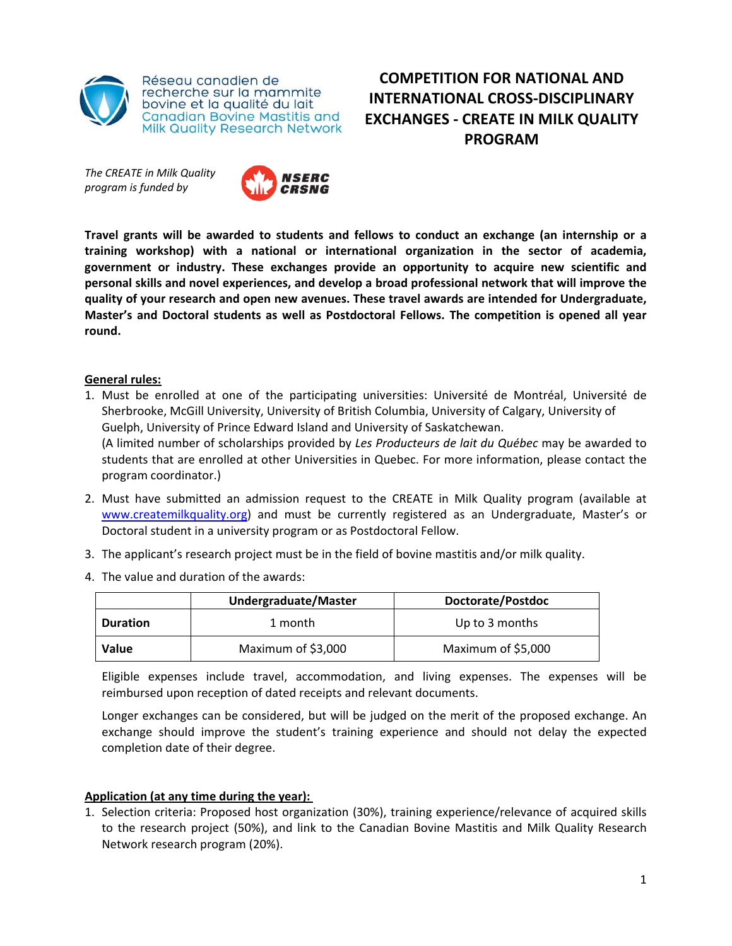

*The CREATE in Milk Quality program is funded by* 



**Travel grants will be awarded to students and fellows to conduct an exchange (an internship or a training workshop) with a national or international organization in the sector of academia, government or industry. These exchanges provide an opportunity to acquire new scientific and personal skills and novel experiences, and develop a broad professional network that will improve the quality of your research and open new avenues. These travel awards are intended for Undergraduate, Master's and Doctoral students as well as Postdoctoral Fellows. The competition is opened all year round.** 

**COMPETITION FOR NATIONAL AND INTERNATIONAL CROSS‐DISCIPLINARY EXCHANGES ‐ CREATE IN MILK QUALITY PROGRAM**

## **General rules:**

1. Must be enrolled at one of the participating universities: Université de Montréal, Université de Sherbrooke, McGill University, University of British Columbia, University of Calgary, University of Guelph, University of Prince Edward Island and University of Saskatchewan.

(A limited number of scholarships provided by *Les Producteurs de lait du Québec* may be awarded to students that are enrolled at other Universities in Quebec. For more information, please contact the program coordinator.)

- 2. Must have submitted an admission request to the CREATE in Milk Quality program (available at www.createmilkquality.org) and must be currently registered as an Undergraduate, Master's or Doctoral student in a university program or as Postdoctoral Fellow.
- 3. The applicant's research project must be in the field of bovine mastitis and/or milk quality.
- 4. The value and duration of the awards:

|                 | <b>Undergraduate/Master</b> | Doctorate/Postdoc  |
|-----------------|-----------------------------|--------------------|
| <b>Duration</b> | 1 month                     | Up to 3 months     |
| <b>Value</b>    | Maximum of \$3,000          | Maximum of \$5,000 |

Eligible expenses include travel, accommodation, and living expenses. The expenses will be reimbursed upon reception of dated receipts and relevant documents.

Longer exchanges can be considered, but will be judged on the merit of the proposed exchange. An exchange should improve the student's training experience and should not delay the expected completion date of their degree.

## **Application (at any time during the year):**

1. Selection criteria: Proposed host organization (30%), training experience/relevance of acquired skills to the research project (50%), and link to the Canadian Bovine Mastitis and Milk Quality Research Network research program (20%).